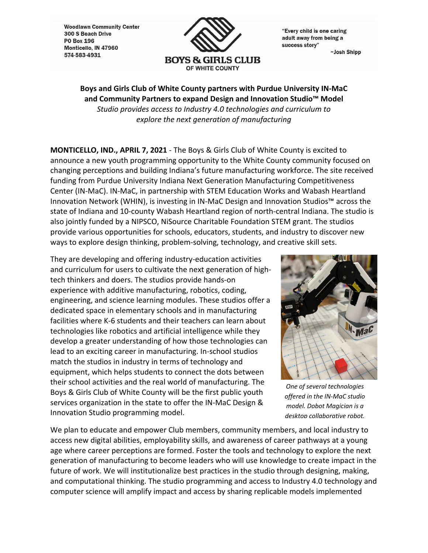**Woodlawn Community Center** 300 S Beach Drive **PO Box 196** Monticello, IN 47960 574-583-4931



"Every child is one caring adult away from being a success story"

~Josh Shipp

**Boys and Girls Club of White County partners with Purdue University IN‐MaC and Community Partners to expand Design and Innovation Studio™ Model** *Studio provides access to Industry 4.0 technologies and curriculum to explore the next generation of manufacturing*

**MONTICELLO, IND., APRIL 7, 2021** ‐ The Boys & Girls Club of White County is excited to announce a new youth programming opportunity to the White County community focused on changing perceptions and building Indiana's future manufacturing workforce. The site received funding from Purdue University Indiana Next Generation Manufacturing Competitiveness Center (IN‐MaC). IN‐MaC, in partnership with STEM Education Works and Wabash Heartland Innovation Network (WHIN), is investing in IN‐MaC Design and Innovation Studios™ across the state of Indiana and 10‐county Wabash Heartland region of north‐central Indiana. The studio is also jointly funded by a NIPSCO, NiSource Charitable Foundation STEM grant. The studios provide various opportunities for schools, educators, students, and industry to discover new ways to explore design thinking, problem-solving, technology, and creative skill sets.

They are developing and offering industry‐education activities and curriculum for users to cultivate the next generation of hightech thinkers and doers. The studios provide hands‐on experience with additive manufacturing, robotics, coding, engineering, and science learning modules. These studios offer a dedicated space in elementary schools and in manufacturing facilities where K‐6 students and their teachers can learn about technologies like robotics and artificial intelligence while they develop a greater understanding of how those technologies can lead to an exciting career in manufacturing. In‐school studios match the studios in industry in terms of technology and equipment, which helps students to connect the dots between their school activities and the real world of manufacturing. The Boys & Girls Club of White County will be the first public youth services organization in the state to offer the IN‐MaC Design & Innovation Studio programming model.



*One of several technologies offered in the IN‐MaC studio model. Dobot Magician is a desktop collaborative robot.*

We plan to educate and empower Club members, community members, and local industry to access new digital abilities, employability skills, and awareness of career pathways at a young age where career perceptions are formed. Foster the tools and technology to explore the next generation of manufacturing to become leaders who will use knowledge to create impact in the future of work. We will institutionalize best practices in the studio through designing, making, and computational thinking. The studio programming and access to Industry 4.0 technology and computer science will amplify impact and access by sharing replicable models implemented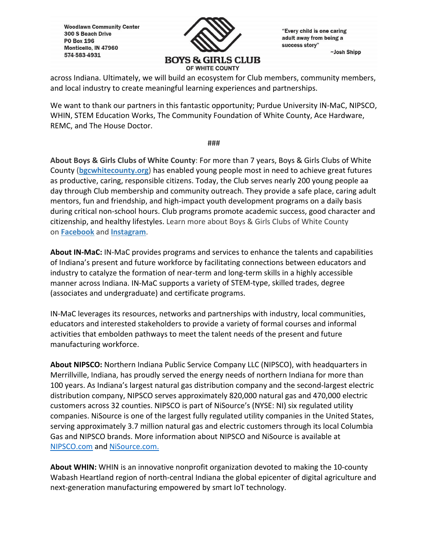**Woodlawn Community Center** 300 S Beach Drive **PO Box 196** Monticello, IN 47960 574-583-4931



"Every child is one caring adult away from being a success story" ~Josh Shipp

across Indiana. Ultimately, we will build an ecosystem for Club members, community members, and local industry to create meaningful learning experiences and partnerships.

We want to thank our partners in this fantastic opportunity; Purdue University IN-MaC, NIPSCO, WHIN, STEM Education Works, The Community Foundation of White County, Ace Hardware, REMC, and The House Doctor.

###

**About Boys & Girls Clubs of White County**: For more than 7 years, Boys & Girls Clubs of White County (**bgcwhitecounty.org**) has enabled young people most in need to achieve great futures as productive, caring, responsible citizens. Today, the Club serves nearly 200 young people aa day through Club membership and community outreach. They provide a safe place, caring adult mentors, fun and friendship, and high‐impact youth development programs on a daily basis during critical non‐school hours. Club programs promote academic success, good character and citizenship, and healthy lifestyles. Learn more about Boys & Girls Clubs of White County on **Facebook** and **Instagram**.

**About IN‐MaC:** IN‐MaC provides programs and services to enhance the talents and capabilities of Indiana's present and future workforce by facilitating connections between educators and industry to catalyze the formation of near-term and long-term skills in a highly accessible manner across Indiana. IN‐MaC supports a variety of STEM‐type, skilled trades, degree (associates and undergraduate) and certificate programs.

IN‐MaC leverages its resources, networks and partnerships with industry, local communities, educators and interested stakeholders to provide a variety of formal courses and informal activities that embolden pathways to meet the talent needs of the present and future manufacturing workforce.

**About NIPSCO:** Northern Indiana Public Service Company LLC (NIPSCO), with headquarters in Merrillville, Indiana, has proudly served the energy needs of northern Indiana for more than 100 years. As Indiana's largest natural gas distribution company and the second-largest electric distribution company, NIPSCO serves approximately 820,000 natural gas and 470,000 electric customers across 32 counties. NIPSCO is part of NiSource's (NYSE: NI) six regulated utility companies. NiSource is one of the largest fully regulated utility companies in the United States, serving approximately 3.7 million natural gas and electric customers through its local Columbia Gas and NIPSCO brands. More information about NIPSCO and NiSource is available at NIPSCO.com and NiSource.com.

**About WHIN:** WHIN is an innovative nonprofit organization devoted to making the 10‐county Wabash Heartland region of north‐central Indiana the global epicenter of digital agriculture and next‐generation manufacturing empowered by smart IoT technology.